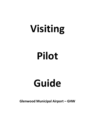# Visiting

## Pilot

## Guide

Glenwood Municipal Airport – GHW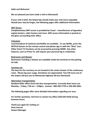#### Hello and Welcome!

We are pleased you have made a visit to Glenwood!

If your visit is brief, the below tips should make your visit more enjoyable. Should your stay be longer, the following pages offer additional information.

#### WiFi Access

Complementary WiFi access is provided by Tanair – manufacturer of legendary engine heaters, cabin heaters and more. WiFi access information is posted on the glass surrounding their office.

#### **Television**

Local broadcast (3 stations) and Netflix are available. To use Netflix, press the NETFLIX button on the remote control and please sign in with the "Ghw" user. Other Smart TV functions can be accessed by pressing HOME. Any other features, such as Prime TV, will require your personal log in credentials.

#### Restrooms and Shower

Restrooms including a shower are available inside the terminal on the parking lot side.

#### Courtesy Car

The keys for the courtesy car are located in the center drawer of the conference room. Please log your usage. Donations are appreciated. Two left turns out of the airport will put you on Minnesota Highway 28 into Glenwood.

#### Alternative Transportation

Rainbow Rider offers local mini-bus transportation. Currently their hours are Monday – Friday, 7:30 am – 4:00pm. Contact : 800-450-7770 or 320-283-5061.

The following pages offer more detailed information regarding our area.

For further questions, feel free to contact my office (320-634-5433) during business hours.

Thank you again for visiting us! Dave Iverson Airport Manager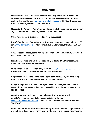### Restaurants

Closest to the Lake – The Lakeside Steak and Chop House offers inside and outside dining daily starting at 11:00. Access the lakeside outdoor patio by walking through the bar. www.glenwoodlakeside.com - 180 South Lakeshore Drive, Glenwood, MN 56334. 320-634-0307

Closest to the Airport – Penny's Diner offers a malt shop experience and is open 24/7. 120 5th St. SE, Glenwood, MN 56334. 320-634 1944

Other restaurants in order proceeding from the Airport:

Duffy's Roadhouse – Sports Bar style American restaurant - open daily at 11:00 am. www.duffysmn.com - 320 County Rd 21 S, Glenwood, MN 56334 320-634- 3142

A&W – Fast Food Fare, Salad Bar - open daily at 11:00. 1205 MN 28, Glenwood, MN 56334 320-634-4320

Pizza Ranch – Pizza and Chicken – open daily at 11:00. 14 E Minnesota Ave., Glenwood, MN 56334 320-634-4261.

China Panda – Chinese – open daily at 11:00. https://www.chinapandaglenwood.com 8 Minnesota Ave. E, Glenwood, MN 56334 320-634-0688.

Gingerbread House Café – Café style – open daily at 6:00 am, call for closing time. 3 Franklin St N, Glenwood, MN 56334 320-634-4969.

Village Inn Sports Bar & Cafe – Bar style – opens weekdays at 8:00. Food is served during the business day, M-F. 25 Franklin St. S, Glenwood, MN 56334 320-634 -9961.

Captains Bar and Grill – Sports Bar Style American restaurant with outside/lakeside service. Call or check website for hours. www.captainsbarandgrill.com - 23583 N Lake Shore Dr. Glenwood, MN 56334 320-634-4311.

Minnewaska House – Fine and Casual Dining. Charbroiled foods - open Tuesday through Saturday at 4 pm. 24895 MN 28, Glenwood, MN 56334 320-634-4566.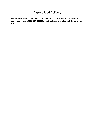## Airport Food Delivery

For airport delivery, check with The Pizza Ranch (320-634-4261) or Casey's convenience store (320-634-4002) to see if delivery is available at the time you call.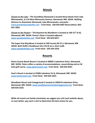## Motels

Closest to the Lake – The GrandStay Glenwood is located three blocks from Lake Minnewaska, at 114 West Minnesota Avenue, Glenwood, MN 56334. Walking distance to downtown Glenwood, Lake Minnewaska, and parks. www.grandstayhospitality.com Front Desk: 320-634-0307 Reservations: 855- 455-7829.

Closest to the Airport – The Baymont by Wyndham is located at 100  $15<sup>th</sup>$  St SE, Glenwood, MN 56334. Penny's Diner is located adjacent. www.wyndamhotels.com Front Desk: 320-634-6017.

The Super 8 by Wyndham is located at 340 County Rd 21 S, Glenwood, MN 56334. Both Duffy's Roadhouse the A & W are a short walk. www.wyndamhotels.com Front Desk: 320-334-2254.

## Resorts

Peters Sunset Beach Resort is located at 20000 S Lakeshore Drive, Glenwood, MN 56334. Peters offers a variety of accommodations, casual dining and an 18 hole golf course. www.petersresort.com Front Desk: 320-634-4501.

Hunt's Resort is located at 23306 Lakeshore Dr N, Glenwood, MN 56334. www.huntsresort.com Front Desk: 320-634-3323.

Woodlawn Resort and Campground is located at 24050 N Lakeshore Drive, Glenwood, MN 56334. www.woodlawnresortandcampground.com Front Desk: 320-634-2254.

While all resorts are family orientated, we suggest you visit each website above, or even better, pay each a visit to determine the best choice for you.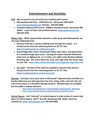## Entertainment and Activities

Golf – We are proud to be served by two excellent golf courses:

- Minnewaska Golf Club 23518 Dero Dr., Glenwood, MN 56334 www.minnewaskagolf.com 18 holes, 320-634-3680
- Pezhekee National Golf Course 20000 S Lakeshore Drive, Glenwood, MN 56334 – a part of Peters Sunset Beach Resort. www.petersresort.com 320-634-4501.

Hiking Trails – While opportunities abound to walk along Lake Minnewaska, we also have dedicated trails:

- Barsness Park has a variety of hiking trails through the woods. It is located across from the swimming beach on SE 11<sup>th</sup> Ave. https://ci.glenwood.mn.us/barsness-park
- Glacial Ridge Bike Trail is shared with hikers, bike riders, and equestrians. It is mostly through open areas. Leaving the airport towards Glenwood, head west on Highway 55. In 1.3 miles, turn right at the Northern Metals Recycling sign. The trail is down the road, veer right after the tracks, then on your left. www.trails.com/us/mn/pope-county/glacial-ridge-bike-trail
- Disc Golf 18 holes of Disc Golf are available in Barness Park which is located across from the swimming beach on SE 11<sup>th</sup> Ave. https://ci.glenwood.mn.us/barsness-park

Dancing – Dancing is very much alive in Glenwood! Approximately monthly on a Sunday afternoon you will experience fox trot, swing, waltz, rock and roll, and Latin to live music in a beautiful lakeside location. Memberships are available but the public is always welcome.

- o http://www.lakesideballroom.org/lakesidedanceclub/Summer\_2016.html
- o http://www.lakesideballroom.org/lakesidedanceclub/Winter.html

Central Square – Get "cultured" at Central Square! A wide variety of events take place at Central Square, 105 2<sup>nd</sup> Ave NE, Glenwood, MN 56334. View the schedule at: www.centralsquare.com 320-634-0400.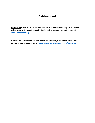## Celebrations!

Waterama – Waterama is held on the last full weekend of July. It is a HUGE celebration with MANY fun activities! See the happenings and events at: www.waterama.org

Winterama – Winterama is our winter celebration, which includes a "polar plunge"! See the activities at: www.glenwoodandbeyond.org/winterama